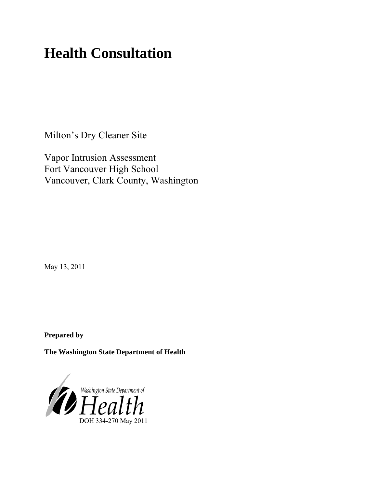# **Health Consultation**

Milton's Dry Cleaner Site

Vapor Intrusion Assessment Fort Vancouver High School Vancouver, Clark County, Washington

May 13, 2011

**Prepared by**

**The Washington State Department of Health** 

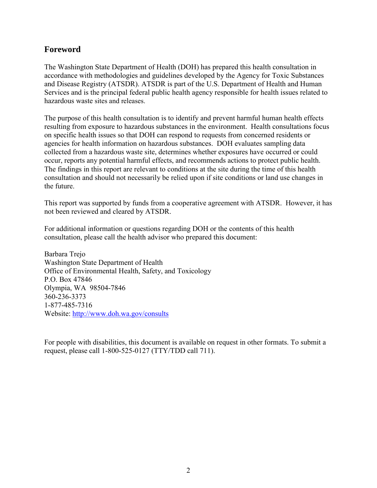## **Foreword**

The Washington State Department of Health (DOH) has prepared this health consultation in accordance with methodologies and guidelines developed by the Agency for Toxic Substances and Disease Registry (ATSDR). ATSDR is part of the U.S. Department of Health and Human Services and is the principal federal public health agency responsible for health issues related to hazardous waste sites and releases.

The purpose of this health consultation is to identify and prevent harmful human health effects resulting from exposure to hazardous substances in the environment. Health consultations focus on specific health issues so that DOH can respond to requests from concerned residents or agencies for health information on hazardous substances. DOH evaluates sampling data collected from a hazardous waste site, determines whether exposures have occurred or could occur, reports any potential harmful effects, and recommends actions to protect public health. The findings in this report are relevant to conditions at the site during the time of this health consultation and should not necessarily be relied upon if site conditions or land use changes in the future.

This report was supported by funds from a cooperative agreement with ATSDR. However, it has not been reviewed and cleared by ATSDR.

For additional information or questions regarding DOH or the contents of this health consultation, please call the health advisor who prepared this document:

Barbara Trejo Washington State Department of Health Office of Environmental Health, Safety, and Toxicology P.O. Box 47846 Olympia, WA 98504-7846 360-236-3373 1-877-485-7316 Website: <http://www.doh.wa.gov/consults>

For people with disabilities, this document is available on request in other formats. To submit a request, please call 1-800-525-0127 (TTY/TDD call 711).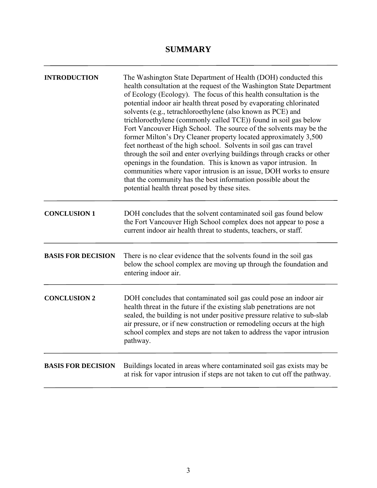## **SUMMARY**

| <b>INTRODUCTION</b>       | The Washington State Department of Health (DOH) conducted this<br>health consultation at the request of the Washington State Department<br>of Ecology (Ecology). The focus of this health consultation is the<br>potential indoor air health threat posed by evaporating chlorinated<br>solvents (e.g., tetrachloroethylene (also known as PCE) and<br>trichloroethylene (commonly called TCE)) found in soil gas below<br>Fort Vancouver High School. The source of the solvents may be the<br>former Milton's Dry Cleaner property located approximately 3,500<br>feet northeast of the high school. Solvents in soil gas can travel<br>through the soil and enter overlying buildings through cracks or other<br>openings in the foundation. This is known as vapor intrusion. In<br>communities where vapor intrusion is an issue, DOH works to ensure<br>that the community has the best information possible about the<br>potential health threat posed by these sites. |
|---------------------------|-------------------------------------------------------------------------------------------------------------------------------------------------------------------------------------------------------------------------------------------------------------------------------------------------------------------------------------------------------------------------------------------------------------------------------------------------------------------------------------------------------------------------------------------------------------------------------------------------------------------------------------------------------------------------------------------------------------------------------------------------------------------------------------------------------------------------------------------------------------------------------------------------------------------------------------------------------------------------------|
| <b>CONCLUSION 1</b>       | DOH concludes that the solvent contaminated soil gas found below<br>the Fort Vancouver High School complex does not appear to pose a<br>current indoor air health threat to students, teachers, or staff.                                                                                                                                                                                                                                                                                                                                                                                                                                                                                                                                                                                                                                                                                                                                                                     |
| <b>BASIS FOR DECISION</b> | There is no clear evidence that the solvents found in the soil gas<br>below the school complex are moving up through the foundation and<br>entering indoor air.                                                                                                                                                                                                                                                                                                                                                                                                                                                                                                                                                                                                                                                                                                                                                                                                               |
| <b>CONCLUSION 2</b>       | DOH concludes that contaminated soil gas could pose an indoor air<br>health threat in the future if the existing slab penetrations are not<br>sealed, the building is not under positive pressure relative to sub-slab<br>air pressure, or if new construction or remodeling occurs at the high<br>school complex and steps are not taken to address the vapor intrusion<br>pathway.                                                                                                                                                                                                                                                                                                                                                                                                                                                                                                                                                                                          |
| <b>BASIS FOR DECISION</b> | Buildings located in areas where contaminated soil gas exists may be<br>at risk for vapor intrusion if steps are not taken to cut off the pathway.                                                                                                                                                                                                                                                                                                                                                                                                                                                                                                                                                                                                                                                                                                                                                                                                                            |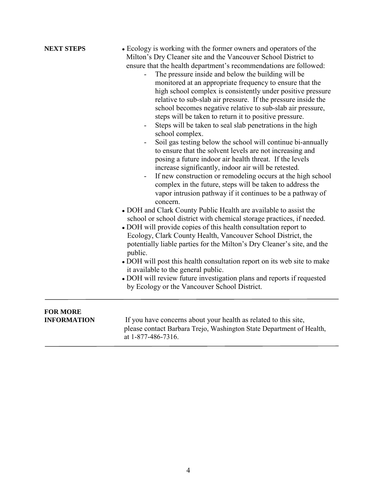| <b>NEXT STEPS</b>                     | • Ecology is working with the former owners and operators of the<br>Milton's Dry Cleaner site and the Vancouver School District to<br>ensure that the health department's recommendations are followed:<br>The pressure inside and below the building will be<br>monitored at an appropriate frequency to ensure that the<br>high school complex is consistently under positive pressure<br>relative to sub-slab air pressure. If the pressure inside the<br>school becomes negative relative to sub-slab air pressure,<br>steps will be taken to return it to positive pressure.<br>Steps will be taken to seal slab penetrations in the high<br>school complex.<br>Soil gas testing below the school will continue bi-annually<br>to ensure that the solvent levels are not increasing and<br>posing a future indoor air health threat. If the levels<br>increase significantly, indoor air will be retested.<br>If new construction or remodeling occurs at the high school<br>$\overline{\phantom{0}}$<br>complex in the future, steps will be taken to address the<br>vapor intrusion pathway if it continues to be a pathway of<br>concern.<br>• DOH and Clark County Public Health are available to assist the<br>school or school district with chemical storage practices, if needed.<br>• DOH will provide copies of this health consultation report to<br>Ecology, Clark County Health, Vancouver School District, the<br>potentially liable parties for the Milton's Dry Cleaner's site, and the<br>public.<br>• DOH will post this health consultation report on its web site to make<br>it available to the general public.<br>• DOH will review future investigation plans and reports if requested<br>by Ecology or the Vancouver School District. |
|---------------------------------------|--------------------------------------------------------------------------------------------------------------------------------------------------------------------------------------------------------------------------------------------------------------------------------------------------------------------------------------------------------------------------------------------------------------------------------------------------------------------------------------------------------------------------------------------------------------------------------------------------------------------------------------------------------------------------------------------------------------------------------------------------------------------------------------------------------------------------------------------------------------------------------------------------------------------------------------------------------------------------------------------------------------------------------------------------------------------------------------------------------------------------------------------------------------------------------------------------------------------------------------------------------------------------------------------------------------------------------------------------------------------------------------------------------------------------------------------------------------------------------------------------------------------------------------------------------------------------------------------------------------------------------------------------------------------------------------------------------------------------------------------------------------------|
| <b>FOR MORE</b><br><b>INFORMATION</b> | If you have concerns about your health as related to this site,<br>please contact Barbara Trejo, Washington State Department of Health,<br>at 1-877-486-7316.                                                                                                                                                                                                                                                                                                                                                                                                                                                                                                                                                                                                                                                                                                                                                                                                                                                                                                                                                                                                                                                                                                                                                                                                                                                                                                                                                                                                                                                                                                                                                                                                      |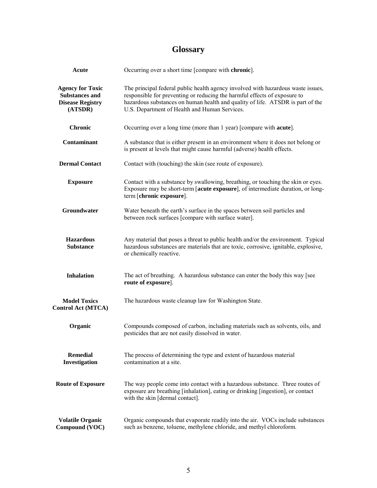# **Glossary**

| Acute                                                                                  | Occurring over a short time [compare with chronic].                                                                                                                                                                                                                                              |
|----------------------------------------------------------------------------------------|--------------------------------------------------------------------------------------------------------------------------------------------------------------------------------------------------------------------------------------------------------------------------------------------------|
| <b>Agency for Toxic</b><br><b>Substances and</b><br><b>Disease Registry</b><br>(ATSDR) | The principal federal public health agency involved with hazardous waste issues,<br>responsible for preventing or reducing the harmful effects of exposure to<br>hazardous substances on human health and quality of life. ATSDR is part of the<br>U.S. Department of Health and Human Services. |
| <b>Chronic</b>                                                                         | Occurring over a long time (more than 1 year) [compare with <b>acute</b> ].                                                                                                                                                                                                                      |
| Contaminant                                                                            | A substance that is either present in an environment where it does not belong or<br>is present at levels that might cause harmful (adverse) health effects.                                                                                                                                      |
| <b>Dermal Contact</b>                                                                  | Contact with (touching) the skin (see route of exposure).                                                                                                                                                                                                                                        |
| <b>Exposure</b>                                                                        | Contact with a substance by swallowing, breathing, or touching the skin or eyes.<br>Exposure may be short-term [acute exposure], of intermediate duration, or long-<br>term [chronic exposure].                                                                                                  |
| Groundwater                                                                            | Water beneath the earth's surface in the spaces between soil particles and<br>between rock surfaces [compare with surface water].                                                                                                                                                                |
| <b>Hazardous</b><br><b>Substance</b>                                                   | Any material that poses a threat to public health and/or the environment. Typical<br>hazardous substances are materials that are toxic, corrosive, ignitable, explosive,<br>or chemically reactive.                                                                                              |
| <b>Inhalation</b>                                                                      | The act of breathing. A hazardous substance can enter the body this way [see<br>route of exposure].                                                                                                                                                                                              |
| <b>Model Toxics</b><br><b>Control Act (MTCA)</b>                                       | The hazardous waste cleanup law for Washington State.                                                                                                                                                                                                                                            |
| Organic                                                                                | Compounds composed of carbon, including materials such as solvents, oils, and<br>pesticides that are not easily dissolved in water.                                                                                                                                                              |
| <b>Remedial</b><br>Investigation                                                       | The process of determining the type and extent of hazardous material<br>contamination at a site.                                                                                                                                                                                                 |
| <b>Route of Exposure</b>                                                               | The way people come into contact with a hazardous substance. Three routes of<br>exposure are breathing [inhalation], eating or drinking [ingestion], or contact<br>with the skin [dermal contact].                                                                                               |
| <b>Volatile Organic</b><br>Compound (VOC)                                              | Organic compounds that evaporate readily into the air. VOCs include substances<br>such as benzene, toluene, methylene chloride, and methyl chloroform.                                                                                                                                           |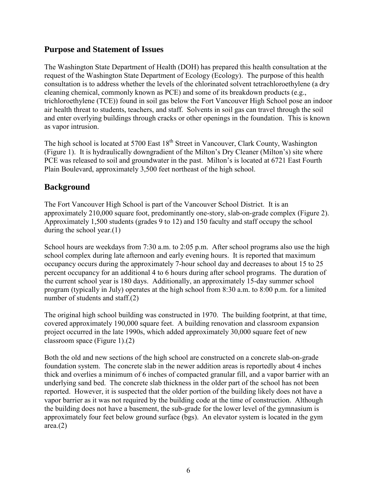## **Purpose and Statement of Issues**

The Washington State Department of Health (DOH) has prepared this health consultation at the request of the Washington State Department of Ecology (Ecology). The purpose of this health consultation is to address whether the levels of the chlorinated solvent tetrachloroethylene (a dry cleaning chemical, commonly known as PCE) and some of its breakdown products (e.g., trichloroethylene (TCE)) found in soil gas below the Fort Vancouver High School pose an indoor air health threat to students, teachers, and staff. Solvents in soil gas can travel through the soil and enter overlying buildings through cracks or other openings in the foundation. This is known as vapor intrusion.

The high school is located at 5700 East  $18<sup>th</sup>$  Street in Vancouver, Clark County, Washington (Figure 1). It is hydraulically downgradient of the Milton's Dry Cleaner (Milton's) site where PCE was released to soil and groundwater in the past. Milton's is located at 6721 East Fourth Plain Boulevard, approximately 3,500 feet northeast of the high school.

## **Background**

The Fort Vancouver High School is part of the Vancouver School District. It is an approximately 210,000 square foot, predominantly one-story, slab-on-grade complex (Figure 2). Approximately 1,500 students (grades 9 to 12) and 150 faculty and staff occupy the school during the school year.(1)

School hours are weekdays from 7:30 a.m. to 2:05 p.m. After school programs also use the high school complex during late afternoon and early evening hours. It is reported that maximum occupancy occurs during the approximately 7-hour school day and decreases to about 15 to 25 percent occupancy for an additional 4 to 6 hours during after school programs. The duration of the current school year is 180 days. Additionally, an approximately 15-day summer school program (typically in July) operates at the high school from 8:30 a.m. to 8:00 p.m. for a limited number of students and staff.(2)

The original high school building was constructed in 1970. The building footprint, at that time, covered approximately 190,000 square feet. A building renovation and classroom expansion project occurred in the late 1990s, which added approximately 30,000 square feet of new classroom space (Figure 1).(2)

Both the old and new sections of the high school are constructed on a concrete slab-on-grade foundation system. The concrete slab in the newer addition areas is reportedly about 4 inches thick and overlies a minimum of 6 inches of compacted granular fill, and a vapor barrier with an underlying sand bed. The concrete slab thickness in the older part of the school has not been reported. However, it is suspected that the older portion of the building likely does not have a vapor barrier as it was not required by the building code at the time of construction. Although the building does not have a basement, the sub-grade for the lower level of the gymnasium is approximately four feet below ground surface (bgs). An elevator system is located in the gym  $area(2)$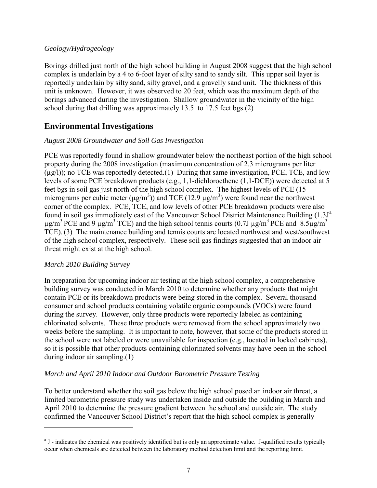#### *Geology/Hydrogeology*

Borings drilled just north of the high school building in August 2008 suggest that the high school complex is underlain by a 4 to 6-foot layer of silty sand to sandy silt. This upper soil layer is reportedly underlain by silty sand, silty gravel, and a gravelly sand unit. The thickness of this unit is unknown. However, it was observed to 20 feet, which was the maximum depth of the borings advanced during the investigation. Shallow groundwater in the vicinity of the high school during that drilling was approximately 13.5 to 17.5 feet bgs.(2)

## **Environmental Investigations**

## *August 2008 Groundwater and Soil Gas Investigation*

PCE was reportedly found in shallow groundwater below the northeast portion of the high school property during the 2008 investigation (maximum concentration of 2.3 micrograms per liter  $(\mu g/I)$ ; no TCE was reportedly detected.(1) During that same investigation, PCE, TCE, and low levels of some PCE breakdown products (e.g., 1,1-dichloroethene (1,1-DCE)) were detected at 5 feet bgs in soil gas just north of the high school complex. The highest levels of PCE (15 micrograms per cubic meter ( $\mu$ g/m<sup>3</sup>)) and TCE (12.9  $\mu$ g/m<sup>3</sup>) were found near the northwest corner of the complex. PCE, TCE, and low levels of other PCE breakdown products were also found in soil g[a](#page-6-0)s immediately east of the Vancouver School District Maintenance Building (1.3J<sup>a</sup>)  $\mu$ g/m<sup>3</sup> PCE and 9  $\mu$ g/m<sup>3</sup> TCE) and the high school tennis courts (0.7J  $\mu$ g/m<sup>3</sup> PCE and 8.5 $\mu$ g/m<sup>3</sup> TCE). (3) The maintenance building and tennis courts are located northwest and west/southwest of the high school complex, respectively. These soil gas findings suggested that an indoor air threat might exist at the high school.

## *March 2010 Building Survey*

In preparation for upcoming indoor air testing at the high school complex, a comprehensive building survey was conducted in March 2010 to determine whether any products that might contain PCE or its breakdown products were being stored in the complex. Several thousand consumer and school products containing volatile organic compounds (VOCs) were found during the survey. However, only three products were reportedly labeled as containing chlorinated solvents. These three products were removed from the school approximately two weeks before the sampling. It is important to note, however, that some of the products stored in the school were not labeled or were unavailable for inspection (e.g., located in locked cabinets), so it is possible that other products containing chlorinated solvents may have been in the school during indoor air sampling.(1)

## *March and April 2010 Indoor and Outdoor Barometric Pressure Testing*

To better understand whether the soil gas below the high school posed an indoor air threat, a limited barometric pressure study was undertaken inside and outside the building in March and April 2010 to determine the pressure gradient between the school and outside air. The study confirmed the Vancouver School District's report that the high school complex is generally

<span id="page-6-0"></span><sup>&</sup>lt;sup>a</sup> J - indicates the chemical was positively identified but is only an approximate value. J-qualified results typically occur when chemicals are detected between the laboratory method detection limit and the reporting limit.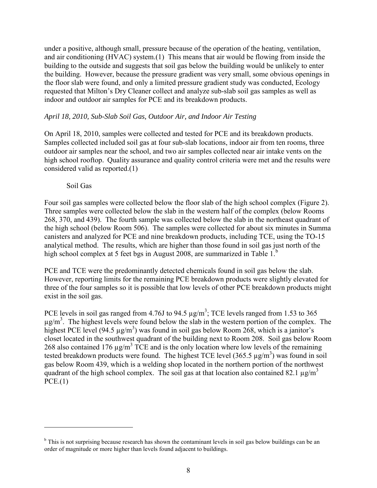under a positive, although small, pressure because of the operation of the heating, ventilation, and air conditioning (HVAC) system.(1) This means that air would be flowing from inside the building to the outside and suggests that soil gas below the building would be unlikely to enter the building. However, because the pressure gradient was very small, some obvious openings in the floor slab were found, and only a limited pressure gradient study was conducted, Ecology requested that Milton's Dry Cleaner collect and analyze sub-slab soil gas samples as well as indoor and outdoor air samples for PCE and its breakdown products.

#### *April 18, 2010, Sub-Slab Soil Gas, Outdoor Air, and Indoor Air Testing*

On April 18, 2010, samples were collected and tested for PCE and its breakdown products. Samples collected included soil gas at four sub-slab locations, indoor air from ten rooms, three outdoor air samples near the school, and two air samples collected near air intake vents on the high school rooftop. Quality assurance and quality control criteria were met and the results were considered valid as reported.(1)

#### Soil Gas

Four soil gas samples were collected below the floor slab of the high school complex (Figure 2). Three samples were collected below the slab in the western half of the complex (below Rooms 268, 370, and 439). The fourth sample was collected below the slab in the northeast quadrant of the high school (below Room 506). The samples were collected for about six minutes in Summa canisters and analyzed for PCE and nine breakdown products, including TCE, using the TO-15 analytical method. The results, which are higher than those found in soil gas just north of the high school complex at 5 feet [b](#page-7-0)gs in August 2008, are summarized in Table 1.<sup>b</sup>

PCE and TCE were the predominantly detected chemicals found in soil gas below the slab. However, reporting limits for the remaining PCE breakdown products were slightly elevated for three of the four samples so it is possible that low levels of other PCE breakdown products might exist in the soil gas.

PCE levels in soil gas ranged from 4.76J to 94.5  $\mu$ g/m<sup>3</sup>; TCE levels ranged from 1.53 to 365  $\mu$ g/m<sup>3</sup>. The highest levels were found below the slab in the western portion of the complex. The highest PCE level (94.5  $\mu$ g/m<sup>3</sup>) was found in soil gas below Room 268, which is a janitor's closet located in the southwest quadrant of the building next to Room 208. Soil gas below Room 268 also contained 176  $\mu$ g/m<sup>3</sup> TCE and is the only location where low levels of the remaining tested breakdown products were found. The highest TCE level  $(365.5 \,\mu g/m^3)$  was found in soil gas below Room 439, which is a welding shop located in the northern portion of the northwest quadrant of the high school complex. The soil gas at that location also contained 82.1  $\mu$ g/m<sup>3</sup>  $PCE.(1)$ 

<span id="page-7-0"></span> $\overline{b}$  This is not surprising because research has shown the contaminant levels in soil gas below buildings can be an order of magnitude or more higher than levels found adjacent to buildings.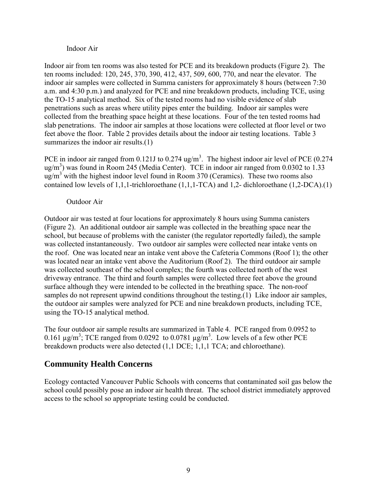#### Indoor Air

Indoor air from ten rooms was also tested for PCE and its breakdown products (Figure 2). The ten rooms included: 120, 245, 370, 390, 412, 437, 509, 600, 770, and near the elevator. The indoor air samples were collected in Summa canisters for approximately 8 hours (between 7:30 a.m. and 4:30 p.m.) and analyzed for PCE and nine breakdown products, including TCE, using the TO-15 analytical method. Six of the tested rooms had no visible evidence of slab penetrations such as areas where utility pipes enter the building. Indoor air samples were collected from the breathing space height at these locations. Four of the ten tested rooms had slab penetrations. The indoor air samples at those locations were collected at floor level or two feet above the floor. Table 2 provides details about the indoor air testing locations. Table 3 summarizes the indoor air results.(1)

PCE in indoor air ranged from 0.121J to 0.274 ug/m<sup>3</sup>. The highest indoor air level of PCE (0.274 ug/m<sup>3</sup>) was found in Room 245 (Media Center). TCE in indoor air ranged from 0.0302 to 1.33 ug/m<sup>3</sup> with the highest indoor level found in Room 370 (Ceramics). These two rooms also contained low levels of 1,1,1-trichloroethane (1,1,1-TCA) and 1,2- dichloroethane (1,2-DCA).(1)

#### Outdoor Air

Outdoor air was tested at four locations for approximately 8 hours using Summa canisters (Figure 2). An additional outdoor air sample was collected in the breathing space near the school, but because of problems with the canister (the regulator reportedly failed), the sample was collected instantaneously. Two outdoor air samples were collected near intake vents on the roof. One was located near an intake vent above the Cafeteria Commons (Roof 1); the other was located near an intake vent above the Auditorium (Roof 2). The third outdoor air sample was collected southeast of the school complex; the fourth was collected north of the west driveway entrance. The third and fourth samples were collected three feet above the ground surface although they were intended to be collected in the breathing space. The non-roof samples do not represent upwind conditions throughout the testing.(1) Like indoor air samples, the outdoor air samples were analyzed for PCE and nine breakdown products, including TCE, using the TO-15 analytical method.

The four outdoor air sample results are summarized in Table 4. PCE ranged from 0.0952 to 0.161  $\mu$ g/m<sup>3</sup>; TCE ranged from 0.0292 to 0.0781  $\mu$ g/m<sup>3</sup>. Low levels of a few other PCE breakdown products were also detected (1,1 DCE; 1,1,1 TCA; and chloroethane).

## **Community Health Concerns**

Ecology contacted Vancouver Public Schools with concerns that contaminated soil gas below the school could possibly pose an indoor air health threat. The school district immediately approved access to the school so appropriate testing could be conducted.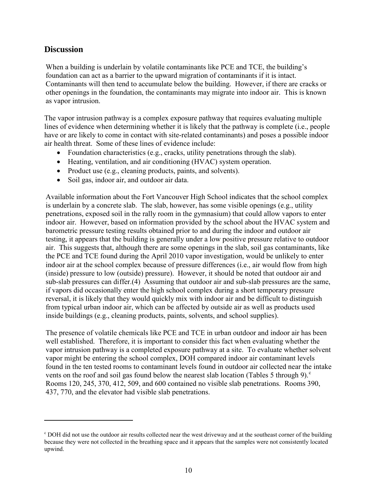## **Discussion**

When a building is underlain by volatile contaminants like PCE and TCE, the building's foundation can act as a barrier to the upward migration of contaminants if it is intact. Contaminants will then tend to accumulate below the building. However, if there are cracks or other openings in the foundation, the contaminants may migrate into indoor air. This is known as vapor intrusion.

The vapor intrusion pathway is a complex exposure pathway that requires evaluating multiple lines of evidence when determining whether it is likely that the pathway is complete (i.e., people have or are likely to come in contact with site-related contaminants) and poses a possible indoor air health threat. Some of these lines of evidence include:

- Foundation characteristics (e.g., cracks, utility penetrations through the slab).
- Heating, ventilation, and air conditioning (HVAC) system operation.
- Product use (e.g., cleaning products, paints, and solvents).
- Soil gas, indoor air, and outdoor air data.

Available information about the Fort Vancouver High School indicates that the school complex is underlain by a concrete slab. The slab, however, has some visible openings (e.g., utility penetrations, exposed soil in the rally room in the gymnasium) that could allow vapors to enter indoor air. However, based on information provided by the school about the HVAC system and barometric pressure testing results obtained prior to and during the indoor and outdoor air testing, it appears that the building is generally under a low positive pressure relative to outdoor air. This suggests that, although there are some openings in the slab, soil gas contaminants, like the PCE and TCE found during the April 2010 vapor investigation, would be unlikely to enter indoor air at the school complex because of pressure differences (i.e., air would flow from high (inside) pressure to low (outside) pressure). However, it should be noted that outdoor air and sub-slab pressures can differ.(4) Assuming that outdoor air and sub-slab pressures are the same, if vapors did occasionally enter the high school complex during a short temporary pressure reversal, it is likely that they would quickly mix with indoor air and be difficult to distinguish from typical urban indoor air, which can be affected by outside air as well as products used inside buildings (e.g., cleaning products, paints, solvents, and school supplies).

The presence of volatile chemicals like PCE and TCE in urban outdoor and indoor air has been well established. Therefore, it is important to consider this fact when evaluating whether the vapor intrusion pathway is a completed exposure pathway at a site. To evaluate whether solvent vapor might be entering the school complex, DOH compared indoor air contaminant levels found in the ten tested rooms to contaminant levels found in outdoor air collected near the intake vents on the roof and soil gas found below the nearest slab lo[c](#page-9-0)ation (Tables 5 through 9). $^{\circ}$ Rooms 120, 245, 370, 412, 509, and 600 contained no visible slab penetrations. Rooms 390, 437, 770, and the elevator had visible slab penetrations.

<span id="page-9-0"></span><sup>c</sup> DOH did not use the outdoor air results collected near the west driveway and at the southeast corner of the building because they were not collected in the breathing space and it appears that the samples were not consistently located upwind.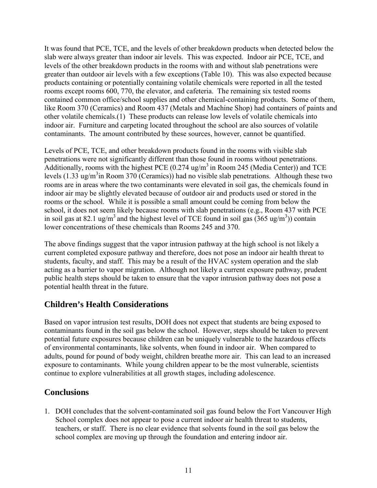It was found that PCE, TCE, and the levels of other breakdown products when detected below the slab were always greater than indoor air levels. This was expected. Indoor air PCE, TCE, and levels of the other breakdown products in the rooms with and without slab penetrations were greater than outdoor air levels with a few exceptions (Table 10). This was also expected because products containing or potentially containing volatile chemicals were reported in all the tested rooms except rooms 600, 770, the elevator, and cafeteria. The remaining six tested rooms contained common office/school supplies and other chemical-containing products. Some of them, like Room 370 (Ceramics) and Room 437 (Metals and Machine Shop) had containers of paints and other volatile chemicals.(1) These products can release low levels of volatile chemicals into indoor air. Furniture and carpeting located throughout the school are also sources of volatile contaminants. The amount contributed by these sources, however, cannot be quantified.

Levels of PCE, TCE, and other breakdown products found in the rooms with visible slab penetrations were not significantly different than those found in rooms without penetrations. Additionally, rooms with the highest PCE  $(0.274 \text{ ug/m}^3 \text{ in Room 245}$  (Media Center)) and TCE levels  $(1.33 \text{ ug/m}^3)$  Room 370 (Ceramics) had no visible slab penetrations. Although these two rooms are in areas where the two contaminants were elevated in soil gas, the chemicals found in indoor air may be slightly elevated because of outdoor air and products used or stored in the rooms or the school. While it is possible a small amount could be coming from below the school, it does not seem likely because rooms with slab penetrations (e.g., Room 437 with PCE in soil gas at 82.1 ug/m<sup>3</sup> and the highest level of TCE found in soil gas  $(365 \text{ ug/m}^3)$  contain lower concentrations of these chemicals than Rooms 245 and 370.

The above findings suggest that the vapor intrusion pathway at the high school is not likely a current completed exposure pathway and therefore, does not pose an indoor air health threat to students, faculty, and staff. This may be a result of the HVAC system operation and the slab acting as a barrier to vapor migration. Although not likely a current exposure pathway, prudent public health steps should be taken to ensure that the vapor intrusion pathway does not pose a potential health threat in the future.

## **Children's Health Considerations**

Based on vapor intrusion test results, DOH does not expect that students are being exposed to contaminants found in the soil gas below the school. However, steps should be taken to prevent potential future exposures because children can be uniquely vulnerable to the hazardous effects of environmental contaminants, like solvents, when found in indoor air. When compared to adults, pound for pound of body weight, children breathe more air. This can lead to an increased exposure to contaminants. While young children appear to be the most vulnerable, scientists continue to explore vulnerabilities at all growth stages, including adolescence.

## **Conclusions**

1. DOH concludes that the solvent-contaminated soil gas found below the Fort Vancouver High School complex does not appear to pose a current indoor air health threat to students, teachers, or staff. There is no clear evidence that solvents found in the soil gas below the school complex are moving up through the foundation and entering indoor air.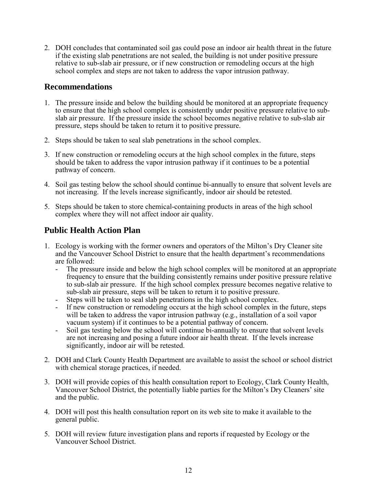2. DOH concludes that contaminated soil gas could pose an indoor air health threat in the future if the existing slab penetrations are not sealed, the building is not under positive pressure relative to sub-slab air pressure, or if new construction or remodeling occurs at the high school complex and steps are not taken to address the vapor intrusion pathway.

## **Recommendations**

- 1. The pressure inside and below the building should be monitored at an appropriate frequency to ensure that the high school complex is consistently under positive pressure relative to subslab air pressure. If the pressure inside the school becomes negative relative to sub-slab air pressure, steps should be taken to return it to positive pressure.
- 2. Steps should be taken to seal slab penetrations in the school complex.
- 3. If new construction or remodeling occurs at the high school complex in the future, steps should be taken to address the vapor intrusion pathway if it continues to be a potential pathway of concern.
- 4. Soil gas testing below the school should continue bi-annually to ensure that solvent levels are not increasing. If the levels increase significantly, indoor air should be retested.
- 5. Steps should be taken to store chemical-containing products in areas of the high school complex where they will not affect indoor air quality.

## **Public Health Action Plan**

- 1. Ecology is working with the former owners and operators of the Milton's Dry Cleaner site and the Vancouver School District to ensure that the health department's recommendations are followed:
	- The pressure inside and below the high school complex will be monitored at an appropriate frequency to ensure that the building consistently remains under positive pressure relative to sub-slab air pressure. If the high school complex pressure becomes negative relative to sub-slab air pressure, steps will be taken to return it to positive pressure.
	- Steps will be taken to seal slab penetrations in the high school complex.
	- If new construction or remodeling occurs at the high school complex in the future, steps will be taken to address the vapor intrusion pathway (e.g., installation of a soil vapor vacuum system) if it continues to be a potential pathway of concern.
	- Soil gas testing below the school will continue bi-annually to ensure that solvent levels are not increasing and posing a future indoor air health threat. If the levels increase significantly, indoor air will be retested.
- 2. DOH and Clark County Health Department are available to assist the school or school district with chemical storage practices, if needed.
- 3. DOH will provide copies of this health consultation report to Ecology, Clark County Health, Vancouver School District, the potentially liable parties for the Milton's Dry Cleaners' site and the public.
- 4. DOH will post this health consultation report on its web site to make it available to the general public.
- 5. DOH will review future investigation plans and reports if requested by Ecology or the Vancouver School District.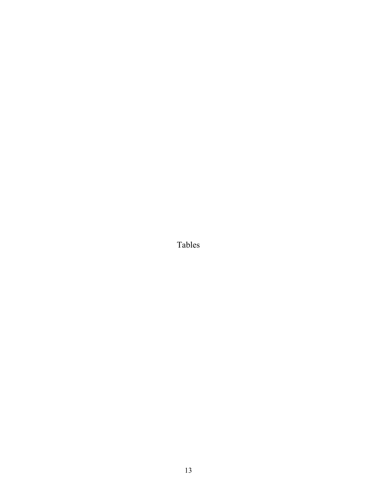Tables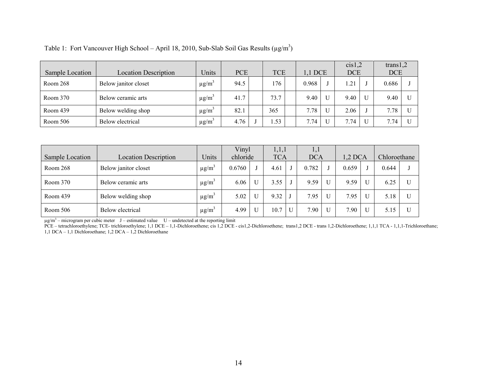| Sample Location | <b>Location Description</b> | Units     | <b>PCE</b> | <b>TCE</b> | 1,1 DCE | cis1,2<br><b>DCE</b> | trans1,2<br><b>DCE</b> |  |
|-----------------|-----------------------------|-----------|------------|------------|---------|----------------------|------------------------|--|
| Room 268        | Below janitor closet        | $\mu$ g/m | 94.5       | 176        | 0.968   | . 21                 | 0.686                  |  |
| Room 370        | Below ceramic arts          | $\mu$ g/m | 41.7       | 73.7       | 9.40    | 9.40                 | 9.40                   |  |
| Room 439        | Below welding shop          | $\mu$ g/m | 82.1       | 365        | 7.78    | 2.06                 | 7.78                   |  |
| Room 506        | Below electrical            | $\mu$ g/m | 4.76       | .53        | 7.74    | 7.74                 | 7.74                   |  |

|  | Table 1: Fort Vancouver High School – April 18, 2010, Sub-Slab Soil Gas Results ( $\mu$ g/m <sup>3</sup> ) |  |  |  |  |  |
|--|------------------------------------------------------------------------------------------------------------|--|--|--|--|--|
|  |                                                                                                            |  |  |  |  |  |
|  |                                                                                                            |  |  |  |  |  |
|  |                                                                                                            |  |  |  |  |  |
|  |                                                                                                            |  |  |  |  |  |

|                 |                             |                         |          | Vinyl |                     |   | 1,1        |  |         |   |              |              |
|-----------------|-----------------------------|-------------------------|----------|-------|---------------------|---|------------|--|---------|---|--------------|--------------|
| Sample Location | <b>Location Description</b> | Units                   | chloride |       | 1,1,1<br><b>TCA</b> |   | <b>DCA</b> |  | 1,2 DCA |   | Chloroethane |              |
| Room 268        | Below janitor closet        | $\mu$ g/m <sup>-1</sup> | 0.6760   |       | 4.61                |   | 0.782      |  | 0.659   |   | 0.644        |              |
| Room 370        | Below ceramic arts          | $\mu$ g/m <sup>3</sup>  | 6.06     |       | 3.55                |   | 9.59       |  | 9.59    | U | 6.25         | U            |
| Room 439        | Below welding shop          | $\mu$ g/m <sup>3</sup>  | 5.02     |       | 9.32                |   | 7.95       |  | 7.95    | U | 5.18         | U            |
| Room 506        | Below electrical            | $\mu$ g/m <sup>3</sup>  | 4.99     |       | 10.7                | U | 7.90       |  | 7.90    | U | 5.15         | $\mathbf{I}$ |

 $\mu$ g/m<sup>3</sup> – microgram per cubic meter J – estimated value U – undetected at the reporting limit

PCE – tetrachloroethylene; TCE- trichloroethylene; 1,1 DCE – 1,1-Dichloroethene; cis 1,2 DCE - cis1,2-Dichloroethene; trans1,2 DCE - trans 1,2-Dichloroethene; 1,1,1 TCA - 1,1,1-Trichloroethane; 1,1 DCA – 1,1 Dichloroethane; 1,2 DCA – 1,2 Dichloroethane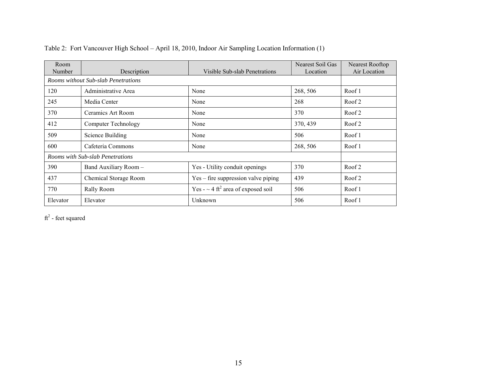| Room<br>Number | Description                         | Visible Sub-slab Penetrations                       | Nearest Soil Gas<br>Location | Nearest Rooftop<br>Air Location |
|----------------|-------------------------------------|-----------------------------------------------------|------------------------------|---------------------------------|
|                | Rooms without Sub-slab Penetrations |                                                     |                              |                                 |
| 120            | Administrative Area                 | None                                                | 268, 506                     | Roof 1                          |
| 245            | Media Center                        | None                                                | 268                          | Roof 2                          |
| 370            | Ceramics Art Room                   | None                                                | 370                          | Roof 2                          |
| 412            | Computer Technology                 | None                                                | 370, 439                     | Roof 2                          |
| 509            | Science Building                    | None                                                | 506                          | Roof 1                          |
| 600            | Cafeteria Commons                   | None                                                | 268, 506                     | Roof 1                          |
|                | Rooms with Sub-slab Penetrations    |                                                     |                              |                                 |
| 390            | Band Auxiliary Room-                | Yes - Utility conduit openings                      | 370                          | Roof 2                          |
| 437            | Chemical Storage Room               | Yes – fire suppression valve piping                 | 439                          | Roof 2                          |
| 770            | Rally Room                          | Yes - $\sim$ 4 ft <sup>2</sup> area of exposed soil | 506                          | Roof 1                          |
| Elevator       | Elevator                            | Unknown                                             | 506                          | Roof 1                          |

Table 2: Fort Vancouver High School – April 18, 2010, Indoor Air Sampling Location Information (1)

 $ft<sup>2</sup>$  - feet squared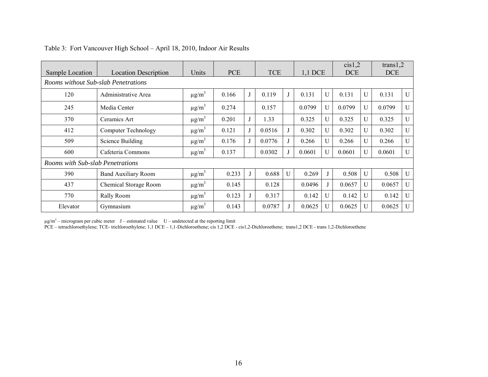| Sample Location                     | <b>Location Description</b> | <b>Units</b>           | <b>PCE</b> |   | <b>TCE</b> |              |        | 1,1 DCE      | cis1,2<br><b>DCE</b> |              | trans $1,2$<br><b>DCE</b> |              |
|-------------------------------------|-----------------------------|------------------------|------------|---|------------|--------------|--------|--------------|----------------------|--------------|---------------------------|--------------|
| Rooms without Sub-slab Penetrations |                             |                        |            |   |            |              |        |              |                      |              |                           |              |
| 120                                 | Administrative Area         | $\mu$ g/m <sup>3</sup> | 0.166      | J | 0.119      | J            | 0.131  | U            | 0.131                | U            | 0.131                     | $\mathbf{U}$ |
| 245                                 | Media Center                | $\mu$ g/m <sup>3</sup> | 0.274      |   | 0.157      |              | 0.0799 | U            | 0.0799               | $\mathbf{U}$ | 0.0799                    | U            |
| 370                                 | Ceramics Art                | $\mu$ g/m <sup>3</sup> | 0.201      | J | 1.33       |              | 0.325  | U            | 0.325                | $\mathbf{U}$ | 0.325                     | U            |
| 412                                 | <b>Computer Technology</b>  | $\mu$ g/m <sup>3</sup> | 0.121      | J | 0.0516     | J            | 0.302  | U            | 0.302                | $\mathbf{U}$ | 0.302                     | U            |
| 509                                 | <b>Science Building</b>     | $\mu$ g/m <sup>3</sup> | 0.176      | J | 0.0776     | J            | 0.266  | U            | 0.266                | U            | 0.266                     | $\mathbf{U}$ |
| 600                                 | Cafeteria Commons           | $\mu$ g/m <sup>3</sup> | 0.137      |   | 0.0302     | J            | 0.0601 | $\mathbf{U}$ | 0.0601               | $\mathbf{U}$ | 0.0601                    | $\mathbf{U}$ |
| Rooms with Sub-slab Penetrations    |                             |                        |            |   |            |              |        |              |                      |              |                           |              |
| 390                                 | <b>Band Auxiliary Room</b>  | $\mu$ g/m <sup>3</sup> | 0.233      |   | 0.688      | $\mathbf{U}$ | 0.269  |              | 0.508                | $\mathbf{U}$ | 0.508                     | $\mathbf{U}$ |
| 437                                 | Chemical Storage Room       | $\mu$ g/m <sup>3</sup> | 0.145      |   | 0.128      |              | 0.0496 |              | 0.0657               | U            | 0.0657                    | $\mathbf{U}$ |
| 770                                 | Rally Room                  | $\mu$ g/m <sup>3</sup> | 0.123      |   | 0.317      |              | 0.142  | U            | 0.142                | U            | 0.142                     | $\mathbf{U}$ |
| Elevator                            | Gymnasium                   | $\mu$ g/m <sup>3</sup> | 0.143      |   | 0.0787     |              | 0.0625 | U            | 0.0625               | U            | 0.0625                    | $\mathbf{U}$ |

#### Table 3: Fort Vancouver High School – April 18, 2010, Indoor Air Results

 $\mu$ g/m<sup>3</sup> – microgram per cubic meter J – estimated value U – undetected at the reporting limit

PCE – tetrachloroethylene; TCE- trichloroethylene; 1,1 DCE – 1,1-Dichloroethene; cis 1,2 DCE - cis1,2-Dichloroethene; trans1,2 DCE - trans 1,2-Dichloroethene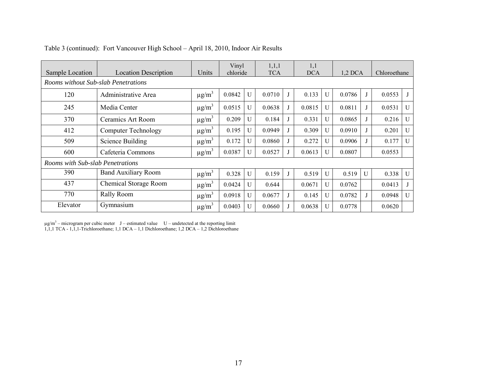| Sample Location                     | <b>Location Description</b> | Units                  | Vinyl<br>chloride |              | 1,1,1<br><b>TCA</b> |              | 1,1<br><b>DCA</b> |              | $1,2$ DCA |              | Chloroethane |              |
|-------------------------------------|-----------------------------|------------------------|-------------------|--------------|---------------------|--------------|-------------------|--------------|-----------|--------------|--------------|--------------|
| Rooms without Sub-slab Penetrations |                             |                        |                   |              |                     |              |                   |              |           |              |              |              |
| 120                                 | Administrative Area         | $\mu$ g/m <sup>3</sup> | 0.0842            | U            | 0.0710              | $\mathbf{l}$ | 0.133             | $\mathbf{U}$ | 0.0786    |              | 0.0553       | $\mathbf{J}$ |
| 245                                 | Media Center                | $\mu$ g/m <sup>3</sup> | 0.0515            | U            | 0.0638              | $\lrcorner$  | 0.0815            | $\mathbf{U}$ | 0.0811    |              | 0.0531       | $\mathbf U$  |
| 370                                 | Ceramics Art Room           | $\mu$ g/m <sup>3</sup> | 0.209             | U            | 0.184               |              | 0.331             | $\mathbf{U}$ | 0.0865    |              | 0.216        | $\mathbf U$  |
| 412                                 | <b>Computer Technology</b>  | $\mu$ g/m <sup>3</sup> | 0.195             | U            | 0.0949              | $\mathbf{J}$ | 0.309             | U            | 0.0910    |              | 0.201        | $\mathbf U$  |
| 509                                 | <b>Science Building</b>     | $\mu$ g/m <sup>3</sup> | 0.172             | U            | 0.0860              |              | 0.272             | U            | 0.0906    |              | 0.177        | $\mathbf{U}$ |
| 600                                 | Cafeteria Commons           | $\mu$ g/m <sup>3</sup> | 0.0387            | U            | 0.0527              |              | 0.0613            | U            | 0.0807    |              | 0.0553       |              |
| Rooms with Sub-slab Penetrations    |                             |                        |                   |              |                     |              |                   |              |           |              |              |              |
| 390                                 | <b>Band Auxiliary Room</b>  | $\mu$ g/m <sup>3</sup> | 0.328             | $\mathbf{U}$ | 0.159               | J            | 0.519             | $\mathbf{U}$ | 0.519     | $\mathbf{U}$ | 0.338        | U            |
| 437                                 | Chemical Storage Room       | $\mu$ g/m <sup>3</sup> | 0.0424            | U            | 0.644               |              | 0.0671            | $\mathbf{U}$ | 0.0762    |              | 0.0413       |              |
| 770                                 | Rally Room                  | $\mu$ g/m <sup>3</sup> | 0.0918            | U            | 0.0677              | J            | 0.145             | U            | 0.0782    |              | 0.0948       | $\mathbf U$  |
| Elevator                            | Gymnasium                   | $\mu$ g/m <sup>3</sup> | 0.0403            | U            | 0.0660              |              | 0.0638            | U            | 0.0778    |              | 0.0620       |              |

Table 3 (continued): Fort Vancouver High School – April 18, 2010, Indoor Air Results

 $\mu$ g/m<sup>3</sup> – microgram per cubic meter J – estimated value U – undetected at the reporting limit 1,1,1 TCA - 1,1,1-Trichloroethane; 1,1 DCA – 1,1 Dichloroethane; 1,2 DCA – 1,2 Dichloroethane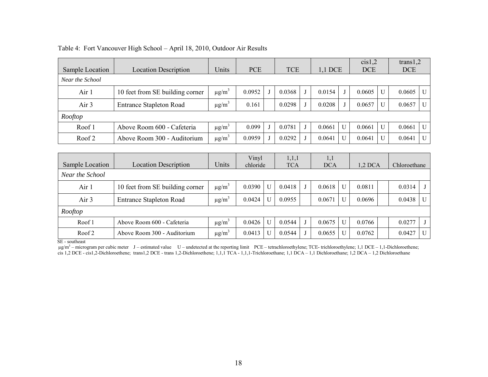|                   |                                 |                        |            |              |            |   |            |   | cis1,2     |                | trans $1,2$  |              |
|-------------------|---------------------------------|------------------------|------------|--------------|------------|---|------------|---|------------|----------------|--------------|--------------|
| Sample Location   | <b>Location Description</b>     | Units                  | <b>PCE</b> |              | <b>TCE</b> |   | $1,1$ DCE  |   | <b>DCE</b> |                | <b>DCE</b>   |              |
| Near the School   |                                 |                        |            |              |            |   |            |   |            |                |              |              |
| Air 1             | 10 feet from SE building corner | $\mu$ g/m <sup>3</sup> | 0.0952     |              | 0.0368     |   | 0.0154     | J | 0.0605     | $\mathbf{U}$   | 0.0605       | $\mathbf U$  |
| Air 3             | <b>Entrance Stapleton Road</b>  | $\mu$ g/m <sup>3</sup> | 0.161      |              | 0.0298     |   | 0.0208     |   | 0.0657     | $\overline{U}$ | 0.0657       | U            |
| Rooftop           |                                 |                        |            |              |            |   |            |   |            |                |              |              |
| Roof 1            | Above Room 600 - Cafeteria      | $\mu$ g/m <sup>3</sup> | 0.099      |              | 0.0781     |   | 0.0661     | U | 0.0661     | U              | 0.0661       | $\mathbf{U}$ |
| Roof 2            | Above Room 300 - Auditorium     | $\mu$ g/m <sup>3</sup> | 0.0959     |              | 0.0292     |   | 0.0641     | U | 0.0641     | U              | 0.0641       | U            |
|                   |                                 |                        |            |              |            |   |            |   |            |                |              |              |
|                   |                                 |                        | Vinyl      |              | 1,1,1      |   | 1,1        |   |            |                |              |              |
| Sample Location   | <b>Location Description</b>     | Units                  | chloride   |              | <b>TCA</b> |   | <b>DCA</b> |   | $1,2$ DCA  |                | Chloroethane |              |
| Near the School   |                                 |                        |            |              |            |   |            |   |            |                |              |              |
| Air 1             | 10 feet from SE building corner | $\mu$ g/m <sup>3</sup> | 0.0390     | U            | 0.0418     |   | 0.0618     | U | 0.0811     |                | 0.0314       | J            |
| Air 3             | <b>Entrance Stapleton Road</b>  | $\mu$ g/m <sup>3</sup> | 0.0424     | $\mathbf{U}$ | 0.0955     |   | 0.0671     | U | 0.0696     |                | 0.0438       | U            |
| Rooftop           |                                 |                        |            |              |            |   |            |   |            |                |              |              |
| Roof 1            | Above Room 600 - Cafeteria      | $\mu$ g/m <sup>3</sup> | 0.0426     | $\mathbf{U}$ | 0.0544     | J | 0.0675     | U | 0.0766     |                | 0.0277       | J            |
| Roof <sub>2</sub> | Above Room 300 - Auditorium     | $\mu$ g/m <sup>3</sup> | 0.0413     | U            | 0.0544     |   | 0.0655     | U | 0.0762     |                | 0.0427       | U            |

#### Table 4: Fort Vancouver High School – April 18, 2010, Outdoor Air Results

SE - southeast

 $\mu$ g/m<sup>3</sup> – microgram per cubic meter J – estimated value U – undetected at the reporting limit PCE – tetrachloroethylene; TCE- trichloroethylene; 1,1 DCE – 1,1-Dichloroethene; cis 1,2 DCE - cis1,2-Dichloroethene; trans1,2 DCE - trans 1,2-Dichloroethene; 1,1,1 TCA - 1,1,1-Trichloroethane; 1,1 DCA – 1,1 Dichloroethane; 1,2 DCA – 1,2 Dichloroethane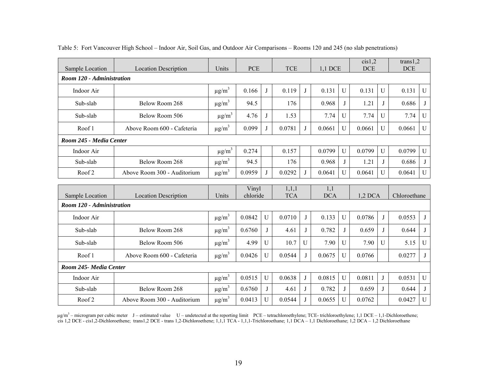| Sample Location           | <b>Location Description</b> | Units                  | <b>PCE</b> |              | <b>TCE</b>          |              | 1,1 DCE    |              | cis1,2<br><b>DCE</b> |              | trans $1,2$<br><b>DCE</b> |             |
|---------------------------|-----------------------------|------------------------|------------|--------------|---------------------|--------------|------------|--------------|----------------------|--------------|---------------------------|-------------|
| Room 120 - Administration |                             |                        |            |              |                     |              |            |              |                      |              |                           |             |
| Indoor Air                |                             | $\mu$ g/m <sup>3</sup> | 0.166      | J            | 0.119               | J            | 0.131      | $\mathbf{U}$ | 0.131                | $\mathbf{U}$ | 0.131                     | $\mathbf U$ |
| Sub-slab                  | Below Room 268              | $\mu$ g/m <sup>3</sup> | 94.5       |              | 176                 |              | 0.968      | J            | 1.21                 | J            | 0.686                     | J           |
| Sub-slab                  | Below Room 506              | $\mu$ g/m <sup>3</sup> | 4.76       | $\mathbf{J}$ | 1.53                |              | 7.74       | U            | 7.74                 | U            | 7.74                      | U           |
| Roof 1                    | Above Room 600 - Cafeteria  | $\mu$ g/m <sup>3</sup> | 0.099      |              | 0.0781              | J            | 0.0661     | $\mathbf{U}$ | 0.0661               | $\mathbf{U}$ | 0.0661                    | U           |
| Room 245 - Media Center   |                             |                        |            |              |                     |              |            |              |                      |              |                           |             |
| Indoor Air                |                             | $\mu g/m^3$            | 0.274      |              | 0.157               |              | 0.0799     | U            | 0.0799               | U            | 0.0799                    | U           |
| Sub-slab                  | Below Room 268              | $\mu$ g/m <sup>3</sup> | 94.5       |              | 176                 |              | 0.968      | J            | 1.21                 | J            | 0.686                     | J           |
| Roof <sub>2</sub>         | Above Room 300 - Auditorium | $\mu$ g/m <sup>3</sup> | 0.0959     | J            | 0.0292              | J            | 0.0641     | U            | 0.0641               | $\mathbf{U}$ | 0.0641                    | $\mathbf U$ |
|                           |                             |                        |            |              |                     |              |            |              |                      |              |                           |             |
|                           |                             |                        | Vinyl      |              |                     |              | 1,1        |              |                      |              |                           |             |
| Sample Location           | <b>Location Description</b> | Units                  | chloride   |              | 1,1,1<br><b>TCA</b> |              | <b>DCA</b> |              | $1,2$ DCA            |              | Chloroethane              |             |
| Room 120 - Administration |                             |                        |            |              |                     |              |            |              |                      |              |                           |             |
| Indoor Air                |                             | $\mu$ g/m <sup>3</sup> | 0.0842     | $\mathbf{U}$ | 0.0710              | J            | 0.133      | U            | 0.0786               | J            | 0.0553                    | J           |
| Sub-slab                  | Below Room 268              | $\mu$ g/m <sup>3</sup> | 0.6760     | J            | 4.61                | J            | 0.782      | J            | 0.659                | $\mathbf{J}$ | 0.644                     | J           |
| Sub-slab                  | Below Room 506              | $\mu$ g/m <sup>3</sup> | 4.99       | $\mathbf{U}$ | 10.7                | U            | 7.90       | U            | 7.90                 | $\mathbf{U}$ | 5.15                      | U           |
| Roof 1                    | Above Room 600 - Cafeteria  | $\mu$ g/m <sup>3</sup> | 0.0426     | U            | 0.0544              | $\mathbf{J}$ | 0.0675     | U            | 0.0766               |              | 0.0277                    | $\bf{J}$    |
| Room 245- Media Center    |                             |                        |            |              |                     |              |            |              |                      |              |                           |             |
| Indoor Air                |                             | $\mu$ g/m <sup>3</sup> | 0.0515     | $\mathbf U$  | 0.0638              | J            | 0.0815     | U            | 0.0811               | J            | 0.0531                    | $\mathbf U$ |
| Sub-slab                  | Below Room 268              | $\mu$ g/m <sup>3</sup> | 0.6760     | J            | 4.61                | J            | 0.782      | J            | 0.659                | $\mathbf{I}$ | 0.644                     | J           |

Table 5: Fort Vancouver High School – Indoor Air, Soil Gas, and Outdoor Air Comparisons – Rooms 120 and 245 (no slab penetrations)

µg/m<sup>3</sup> – microgram per cubic meter J – estimated value U – undetected at the reporting limit PCE – tetrachloroethylene; TCE- trichloroethylene; 1,1 DCE – 1,1-Dichloroethene; cis 1,2 DCE - cis1,2-Dichloroethene; trans1,2 DCE - trans 1,2-Dichloroethene; 1,1,1 TCA - 1,1,1-Trichloroethane; 1,1 DCA – 1,1 Dichloroethane; 1,2 DCA – 1,2 Dichloroethane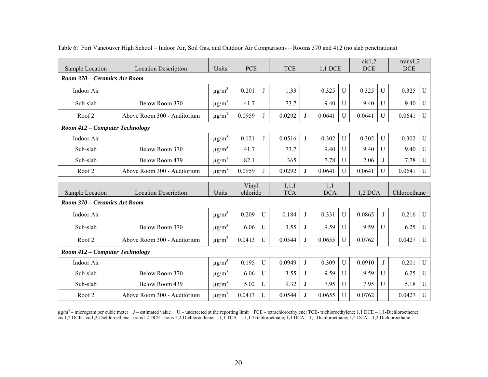| Sample Location                            | <b>Location Description</b> | Units                  | <b>PCE</b>        |              | <b>TCE</b>          |   | 1,1 DCE           |                | cis1,2<br><b>DCE</b> |                | trans $1,2$<br><b>DCE</b> |              |
|--------------------------------------------|-----------------------------|------------------------|-------------------|--------------|---------------------|---|-------------------|----------------|----------------------|----------------|---------------------------|--------------|
| Room 370 – Ceramics Art Room               |                             |                        |                   |              |                     |   |                   |                |                      |                |                           |              |
| Indoor Air                                 |                             | $\mu$ g/m <sup>3</sup> | 0.201             | J            | 1.33                |   | 0.325             | U              | 0.325                | $\mathbf{U}$   | 0.325                     | $\mathbf U$  |
| Sub-slab                                   | Below Room 370              | $\mu$ g/m <sup>3</sup> | 41.7              |              | 73.7                |   | 9.40              | U              | 9.40                 | U              | 9.40                      | U            |
| Roof <sub>2</sub>                          | Above Room 300 - Auditorium | $\mu$ g/m <sup>3</sup> | 0.0959            | J            | 0.0292              | J | 0.0641            | $\overline{U}$ | 0.0641               | $\mathbf{U}$   | 0.0641                    | U            |
| Room 412 - Computer Technology             |                             |                        |                   |              |                     |   |                   |                |                      |                |                           |              |
| Indoor Air                                 |                             | $\mu$ g/m <sup>3</sup> | 0.121             | J            | 0.0516              | J | 0.302             | U              | 0.302                | U              | 0.302                     | $\mathbf{U}$ |
| Sub-slab                                   | Below Room 370              | $\mu$ g/m <sup>3</sup> | 41.7              |              | 73.7                |   | 9.40              | U              | 9.40                 | $\mathbf{U}$   | 9.40                      | $\mathbf U$  |
| Sub-slab                                   | Below Room 439              | $\mu$ g/m <sup>3</sup> | 82.1              |              | 365                 |   | 7.78              | U              | 2.06                 | J              | 7.78                      | U            |
| Roof <sub>2</sub>                          | Above Room 300 - Auditorium | $\mu$ g/m <sup>3</sup> | 0.0959            | J            | 0.0292              | J | 0.0641            | U              | 0.0641               | $\mathbf{U}$   | 0.0641                    | U            |
|                                            |                             |                        |                   |              |                     |   |                   |                |                      |                |                           |              |
| Sample Location                            | <b>Location Description</b> | Units                  | Vinyl<br>chloride |              | 1,1,1<br><b>TCA</b> |   | 1,1<br><b>DCA</b> |                | $1,2$ DCA            |                | Chloroethane              |              |
| Room 370 – Ceramics Art Room<br>Indoor Air |                             | $\mu$ g/m <sup>3</sup> | 0.209             | $\mathbf{U}$ | 0.184               | J | 0.331             | $\mathbf{U}$   | 0.0865               | J              | 0.216                     | U            |
| Sub-slab                                   | Below Room 370              | $\mu$ g/m <sup>3</sup> | 6.06              | U            | 3.55                | J | 9.59              | U              | 9.59                 | $\mathbf{U}$   | 6.25                      | U            |
| Roof <sub>2</sub>                          | Above Room 300 - Auditorium | $\mu$ g/m <sup>3</sup> | 0.0413            | $\mathbf{U}$ | 0.0544              | J | 0.0655            | $\mathbf{U}$   | 0.0762               |                | 0.0427                    | $\mathbf{U}$ |
| Room 412 – Computer Technology             |                             |                        |                   |              |                     |   |                   |                |                      |                |                           |              |
| Indoor Air                                 |                             | $\mu\text{g/m}^3$      | 0.195             | U            | 0.0949              | J | 0.309             | $\overline{U}$ | 0.0910               | $\mathbf{J}$   | 0.201                     | $\mathbf U$  |
| Sub-slab                                   | Below Room 370              | $\mu$ g/m <sup>3</sup> | 6.06              | $\mathbf{U}$ | 3.55                | J | 9.59              | $\overline{U}$ | 9.59                 | $\overline{U}$ | 6.25                      | $\mathbf U$  |
| Sub-slab                                   | Below Room 439              | $\mu$ g/m <sup>3</sup> | 5.02              | U            | 9.32                | J | 7.95              | $\overline{U}$ | 7.95                 | $\overline{U}$ | 5.18                      | $\mathbf U$  |

#### Table 6: Fort Vancouver High School – Indoor Air, Soil Gas, and Outdoor Air Comparisons – Rooms 370 and 412 (no slab penetrations)

 $\mu$ g/m<sup>3</sup> – microgram per cubic meter J – estimated value U – undetected at the reporting limit PCE – tetrachloroethylene; TCE- trichloroethylene; 1,1 DCE – 1,1-Dichloroethene; cis 1,2 DCE - cis1,2-Dichloroethene; trans1,2 DCE - trans 1,2-Dichloroethene; 1,1,1 TCA - 1,1,1-Trichloroethane; 1,1 DCA – 1,1 Dichloroethane; 1,2 DCA – 1,2 Dichloroethane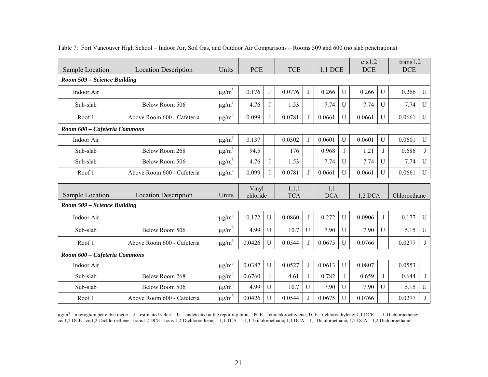|                              |                             |                        |                   |             |                     |              |                   |                | cis1,2     |                | trans $1,2$  |             |
|------------------------------|-----------------------------|------------------------|-------------------|-------------|---------------------|--------------|-------------------|----------------|------------|----------------|--------------|-------------|
| Sample Location              | <b>Location Description</b> | Units                  | <b>PCE</b>        |             | <b>TCE</b>          |              | 1,1 DCE           |                | <b>DCE</b> |                | <b>DCE</b>   |             |
| Room 509 - Science Building  |                             |                        |                   |             |                     |              |                   |                |            |                |              |             |
| Indoor Air                   |                             | $\mu g/m^3$            | 0.176             | J           | 0.0776              | J            | 0.266             | U              | 0.266      | U              | 0.266        | U           |
| Sub-slab                     | Below Room 506              | $\mu g/m^3$            | 4.76              | J           | 1.53                |              | 7.74              | U              | 7.74       | U              | 7.74         | U           |
| Roof 1                       | Above Room 600 - Cafeteria  | $\mu$ g/m <sup>3</sup> | 0.099             | J           | 0.0781              | J            | 0.0661            | $\overline{U}$ | 0.0661     | U              | 0.0661       | U           |
| Room 600 - Cafeteria Commons |                             |                        |                   |             |                     |              |                   |                |            |                |              |             |
| Indoor Air                   |                             | $\mu$ g/m <sup>3</sup> | 0.137             |             | 0.0302              | J            | 0.0601            | U              | 0.0601     | $\mathbf{U}$   | 0.0601       | U           |
| Sub-slab                     | Below Room 268              | $\mu$ g/m <sup>3</sup> | 94.5              |             | 176                 |              | 0.968             | J              | 1.21       | J              | 0.686        | J           |
| Sub-slab                     | Below Room 506              | $\mu g/m^3$            | 4.76              | J           | 1.53                |              | 7.74              | U              | 7.74       | U              | 7.74         | ${\bf U}$   |
| Roof 1                       | Above Room 600 - Cafeteria  | $\mu$ g/m <sup>3</sup> | 0.099             |             | 0.0781              | J            | 0.0661            | $\overline{U}$ | 0.0661     | $\overline{U}$ | 0.0661       | $\mathbf U$ |
|                              |                             |                        |                   |             |                     |              |                   |                |            |                |              |             |
|                              |                             |                        |                   |             |                     |              |                   |                |            |                |              |             |
| Sample Location              | <b>Location Description</b> | Units                  | Vinyl<br>chloride |             | 1,1,1<br><b>TCA</b> |              | 1,1<br><b>DCA</b> |                | $1,2$ DCA  |                | Chloroethane |             |
| Room 509 – Science Building  |                             |                        |                   |             |                     |              |                   |                |            |                |              |             |
| Indoor Air                   |                             | $\mu$ g/m <sup>3</sup> | 0.172             | $\mathbf U$ | 0.0860              | J            | 0.272             | U              | 0.0906     | J              | 0.177        | $\mathbf U$ |
| Sub-slab                     | Below Room 506              | $\mu$ g/m <sup>3</sup> | 4.99              | U           | 10.7                | U            | 7.90              | U              | 7.90       | $\mathbf{U}$   | 5.15         | U           |
| Roof 1                       | Above Room 600 - Cafeteria  | $\mu$ g/m <sup>3</sup> | 0.0426            | $\mathbf U$ | 0.0544              | J            | 0.0675            | $\overline{U}$ | 0.0766     |                | 0.0277       | J           |
| Room 600 - Cafeteria Commons |                             |                        |                   |             |                     |              |                   |                |            |                |              |             |
| Indoor Air                   |                             | $\mu g/m^3$            | 0.0387            | U           | 0.0527              | J            | 0.0613            | U              | 0.0807     |                | 0.0553       |             |
| Sub-slab                     | Below Room 268              | $\mu g/m^3$            | 0.6760            | J           | 4.61                | J            | 0.782             | J              | 0.659      | $\mathbf{J}$   | 0.644        | J           |
| Sub-slab                     | Below Room 506              | $\mu$ g/m <sup>3</sup> | 4.99              | U           | 10.7                | $\mathbf{U}$ | 7.90              | U              | 7.90       | $\mathbf{U}$   | 5.15         | $\mathbf U$ |

#### Table 7: Fort Vancouver High School – Indoor Air, Soil Gas, and Outdoor Air Comparisons – Rooms 509 and 600 (no slab penetrations)

 $\mu$ g/m<sup>3</sup> – microgram per cubic meter J – estimated value U – undetected at the reporting limit PCE – tetrachloroethylene; TCE- trichloroethylene; 1,1 DCE – 1,1-Dichloroethene; cis 1,2 DCE - cis1,2-Dichloroethene; trans1,2 DCE - trans 1,2-Dichloroethene; 1,1,1 TCA - 1,1,1-Trichloroethane; 1,1 DCA – 1,1 Dichloroethane; 1,2 DCA – 1,2 Dichloroethane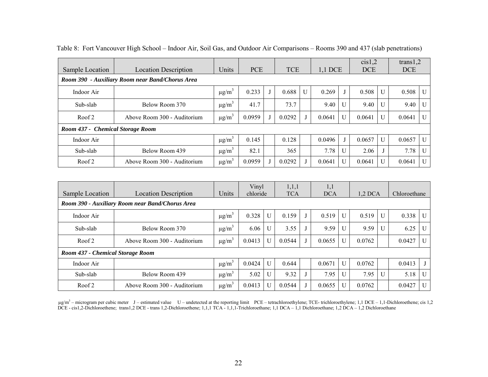|                                                 |                             |                        |            |  |            |   |         |   | cis1,2     |              | trans $1,2$ |              |
|-------------------------------------------------|-----------------------------|------------------------|------------|--|------------|---|---------|---|------------|--------------|-------------|--------------|
| Sample Location                                 | <b>Location Description</b> | Units                  | <b>PCE</b> |  | <b>TCE</b> |   | 1,1 DCE |   | <b>DCE</b> | <b>DCE</b>   |             |              |
| Room 390 - Auxiliary Room near Band/Chorus Area |                             |                        |            |  |            |   |         |   |            |              |             |              |
| Indoor Air                                      |                             | $\mu$ g/m <sup>3</sup> | 0.233      |  | 0.688      | U | 0.269   |   | 0.508      | U            | 0.508       | U            |
| Sub-slab                                        | Below Room 370              | $\mu$ g/m <sup>3</sup> | 41.7       |  | 73.7       |   | 9.40    | U | 9.40       | $\mathbf{U}$ | 9.40        | $\mathbf{U}$ |
| Roof 2                                          | Above Room 300 - Auditorium | $\mu$ g/m <sup>3</sup> | 0.0959     |  | 0.0292     |   | 0.0641  | U | 0.0641     | U            | 0.0641      | $\mathbf{U}$ |
| Room 437 - Chemical Storage Room                |                             |                        |            |  |            |   |         |   |            |              |             |              |
| Indoor Air                                      |                             | $\mu$ g/m <sup>3</sup> | 0.145      |  | 0.128      |   | 0.0496  |   | 0.0657     | $\mathbf{I}$ | 0.0657      | $\mathbf{U}$ |
| Sub-slab                                        | Below Room 439              | $\mu$ g/m <sup>3</sup> | 82.1       |  | 365        |   | 7.78    | U | 2.06       |              | 7.78        | U            |
| Roof 2                                          | Above Room 300 - Auditorium | $\mu$ g/m <sup>3</sup> | 0.0959     |  | 0.0292     |   | 0.0641  | U | 0.0641     |              | 0.0641      | $\mathbf{U}$ |

#### Table 8: Fort Vancouver High School – Indoor Air, Soil Gas, and Outdoor Air Comparisons – Rooms 390 and 437 (slab penetrations)

| Sample Location                                 | <b>Location Description</b> | Units                  | Vinyl<br>chloride |              | 1,1,1<br><b>TCA</b> | 1,1<br><b>DCA</b> |              | $1,2$ DCA |              | Chloroethane |              |
|-------------------------------------------------|-----------------------------|------------------------|-------------------|--------------|---------------------|-------------------|--------------|-----------|--------------|--------------|--------------|
| Room 390 - Auxiliary Room near Band/Chorus Area |                             |                        |                   |              |                     |                   |              |           |              |              |              |
| Indoor Air                                      |                             | $\mu$ g/m <sup>3</sup> | 0.328             | $\mathbf{U}$ | 0.159               | 0.519             | $\mathbf{U}$ | 0.519     | $\mathbf{U}$ | 0.338        | $\mathbf{U}$ |
| Sub-slab                                        | Below Room 370              | $\mu$ g/m <sup>3</sup> | 6.06              |              | 3.55                | 9.59              |              | 9.59      | U            | 6.25         | $\mathbf{U}$ |
| Roof 2                                          | Above Room 300 - Auditorium | $\mu$ g/m <sup>3</sup> | 0.0413            | $\mathbf{U}$ | 0.0544              | 0.0655            |              | 0.0762    |              | 0.0427       | $\mathbf{U}$ |
| Room 437 - Chemical Storage Room                |                             |                        |                   |              |                     |                   |              |           |              |              |              |
| Indoor Air                                      |                             | $\mu$ g/m <sup>3</sup> | 0.0424            | $\mathbf{U}$ | 0.644               | 0.0671            | $\mathbf{U}$ | 0.0762    |              | 0.0413       | J            |
| Sub-slab                                        | Below Room 439              | $\mu$ g/m <sup>3</sup> | 5.02              | $\mathbf{U}$ | 9.32                | 7.95              | U            | 7.95      | $\mathbf{U}$ | 5.18         | $\mathbf{U}$ |
| Roof 2                                          | Above Room 300 - Auditorium | $\mu$ g/m <sup>3</sup> | 0.0413            | U            | 0.0544              | 0.0655            |              | 0.0762    |              | 0.0427       | $\mathbf{U}$ |

 $\mu$ g/m<sup>3</sup> – microgram per cubic meter J – estimated value U – undetected at the reporting limit PCE – tetrachloroethylene; TCE- trichloroethylene; 1,1 DCE – 1,1-Dichloroethene; cis 1,2 DCE - cis1,2-Dichloroethene; trans1,2 DCE - trans 1,2-Dichloroethene; 1,1,1 TCA - 1,1,1-Trichloroethane; 1,1 DCA – 1,1 Dichloroethane; 1,2 DCA – 1,2 Dichloroethane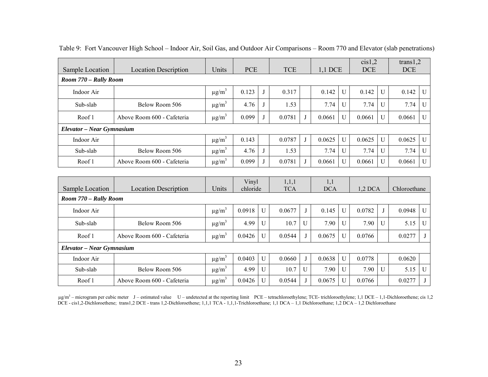| Sample Location           | <b>Location Description</b> | Units                  | <b>PCE</b> |   | <b>TCE</b> |  | $1,1$ DCE |                | cis1,2<br><b>DCE</b> |              | trans $1,2$<br><b>DCE</b> |                |
|---------------------------|-----------------------------|------------------------|------------|---|------------|--|-----------|----------------|----------------------|--------------|---------------------------|----------------|
| Room 770 – Rally Room     |                             |                        |            |   |            |  |           |                |                      |              |                           |                |
| Indoor Air                |                             | $\mu$ g/m <sup>3</sup> | 0.123      | J | 0.317      |  | 0.142     | $\mathbf{U}$   | 0.142                | $\mathbf{U}$ | 0.142                     | $\mathbf{U}$   |
| Sub-slab                  | Below Room 506              | $\mu$ g/m <sup>3</sup> | 4.76       |   | 1.53       |  | 7.74      | U              | 7.74                 | $\mathbf{U}$ | 7.74                      | U              |
| Roof 1                    | Above Room 600 - Cafeteria  | $\mu$ g/m <sup>3</sup> | 0.099      |   | 0.0781     |  | 0.0661    | $\mathbf{U}$   | 0.0661               | $\mathbf{U}$ | 0.0661                    | $\overline{U}$ |
| Elevator – Near Gymnasium |                             |                        |            |   |            |  |           |                |                      |              |                           |                |
| Indoor Air                |                             | $\mu$ g/m <sup>3</sup> | 0.143      |   | 0.0787     |  | 0.0625    | $\overline{U}$ | 0.0625               | $\mathbf{U}$ | 0.0625                    | $\mathbf{U}$   |
| Sub-slab                  | Below Room 506              | $\mu$ g/m <sup>3</sup> | 4.76       |   | 1.53       |  | 7.74      | $\overline{U}$ | 7.74                 | U            | 7.74                      | $\overline{U}$ |
| Roof 1                    | Above Room 600 - Cafeteria  | $\mu$ g/m <sup>3</sup> | 0.099      |   | 0.0781     |  | 0.0661    | U              | 0.0661               | U            | 0.0661                    | $\overline{U}$ |
|                           |                             |                        |            |   |            |  |           |                |                      |              |                           |                |

|  | Table 9: Fort Vancouver High School – Indoor Air, Soil Gas, and Outdoor Air Comparisons – Room 770 and Elevator (slab penetrations) |  |  |  |  |  |  |
|--|-------------------------------------------------------------------------------------------------------------------------------------|--|--|--|--|--|--|
|  |                                                                                                                                     |  |  |  |  |  |  |

| Sample Location           | <b>Location Description</b> | Units                  | Vinyl<br>chloride |              | 1,1,1<br><b>TCA</b> |   | 1,1<br><b>DCA</b> |   | $1,2$ DCA |                | Chloroethane |              |
|---------------------------|-----------------------------|------------------------|-------------------|--------------|---------------------|---|-------------------|---|-----------|----------------|--------------|--------------|
| Room 770 – Rally Room     |                             |                        |                   |              |                     |   |                   |   |           |                |              |              |
| Indoor Air                |                             | $\mu$ g/m <sup>3</sup> | 0.0918            | $\mathbf{U}$ | 0.0677              |   | 0.145             | U | 0.0782    |                | 0.0948       | $\mathbf{U}$ |
| Sub-slab                  | Below Room 506              | $\mu$ g/m <sup>3</sup> | 4.99              | U            | 10.7                | U | 7.90              | U | 7.90      | U              | 5.15         | $\mathbf{U}$ |
| Roof 1                    | Above Room 600 - Cafeteria  | $\mu$ g/m <sup>3</sup> | 0.0426            | U            | 0.0544              |   | 0.0675            |   | 0.0766    |                | 0.0277       |              |
| Elevator – Near Gymnasium |                             |                        |                   |              |                     |   |                   |   |           |                |              |              |
| Indoor Air                |                             | $\mu$ g/m <sup>3</sup> | 0.0403            | U            | 0.0660              |   | 0.0638            | U | 0.0778    |                | 0.0620       |              |
| Sub-slab                  | Below Room 506              | $\mu$ g/m <sup>3</sup> | 4.99              | $\mathbf{U}$ | 10.7                | U | 7.90              | U | 7.90      | $\overline{U}$ | 5.15         | $\mathbf{U}$ |
| Roof 1                    | Above Room 600 - Cafeteria  | $\mu$ g/m <sup>3</sup> | 0.0426            | U            | 0.0544              |   | 0.0675            | U | 0.0766    |                | 0.0277       |              |

 $\mu$ g/m<sup>3</sup> – microgram per cubic meter J – estimated value U – undetected at the reporting limit PCE – tetrachloroethylene; TCE- trichloroethylene; 1,1 DCE – 1,1-Dichloroethene; cis 1,2 DCE - cis1,2-Dichloroethene; trans1,2 DCE - trans 1,2-Dichloroethene; 1,1,1 TCA - 1,1,1-Trichloroethane; 1,1 DCA – 1,1 Dichloroethane; 1,2 DCA – 1,2 Dichloroethane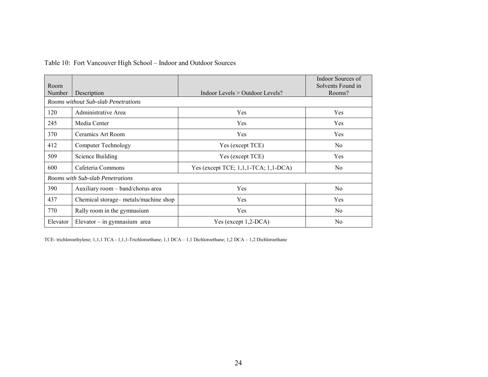|  |  |  |  | Table 10: Fort Vancouver High School - Indoor and Outdoor Sources |
|--|--|--|--|-------------------------------------------------------------------|
|--|--|--|--|-------------------------------------------------------------------|

| Room     |                                      |                                            | Indoor Sources of<br>Solvents Found in |
|----------|--------------------------------------|--------------------------------------------|----------------------------------------|
| Number   | Description                          | Indoor Levels $>$ Outdoor Levels?          | Rooms?                                 |
|          | Rooms without Sub-slab Penetrations  |                                            |                                        |
| 120      | Administrative Area                  | Yes                                        | Yes                                    |
| 245      | Media Center                         | Yes                                        | Yes                                    |
| 370      | Ceramics Art Room                    | Yes                                        | Yes                                    |
| 412      | <b>Computer Technology</b>           | Yes (except TCE)                           | No.                                    |
| 509      | Science Building                     | Yes (except TCE)                           | Yes                                    |
| 600      | Cafeteria Commons                    | Yes (except TCE; $1,1,1$ -TCA; $1,1$ -DCA) | N <sub>0</sub>                         |
|          | Rooms with Sub-slab Penetrations     |                                            |                                        |
| 390      | Auxiliary room - band/chorus area    | Yes                                        | No                                     |
| 437      | Chemical storage-metals/machine shop | Yes                                        | Yes                                    |
| 770      | Rally room in the gymnasium          | Yes                                        | N <sub>0</sub>                         |
| Elevator | Elevator $-$ in gymnasium area       | Yes (except $1,2$ -DCA)                    | N <sub>0</sub>                         |

TCE- trichloroethylene; 1,1,1 TCA - 1,1,1-Trichloroethane; 1,1 DCA – 1,1 Dichloroethane; 1,2 DCA – 1,2 Dichloroethane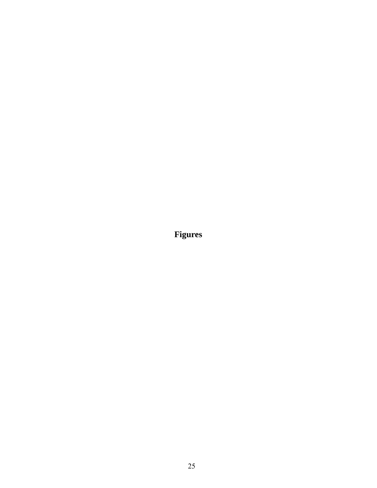**Figures**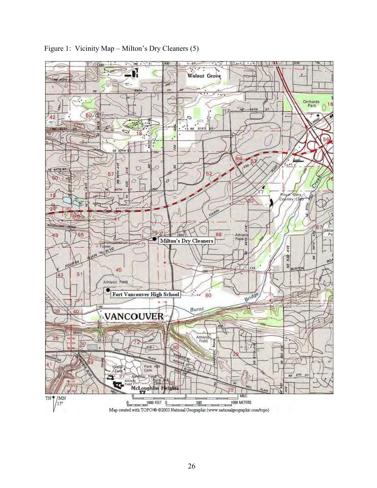

Figure 1: Vicinity Map – Milton's Dry Cleaners (5)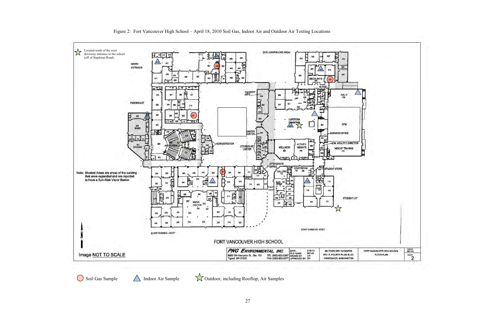

Soil Gas Sample 11 Indoor Air Sample 1997 Outdoor, including Rooftop, Air Samples

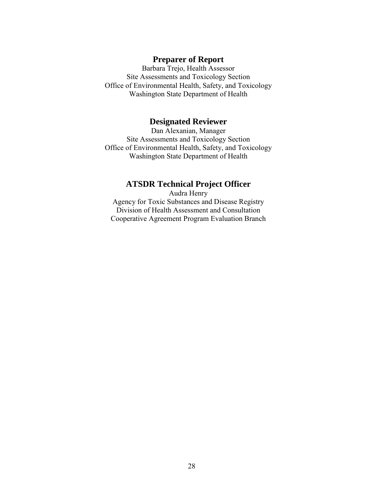## **Preparer of Report**

Barbara Trejo, Health Assessor Site Assessments and Toxicology Section Office of Environmental Health, Safety, and Toxicology Washington State Department of Health

## **Designated Reviewer**

Dan Alexanian, Manager Site Assessments and Toxicology Section Office of Environmental Health, Safety, and Toxicology Washington State Department of Health

## **ATSDR Technical Project Officer**

Audra Henry Agency for Toxic Substances and Disease Registry Division of Health Assessment and Consultation Cooperative Agreement Program Evaluation Branch